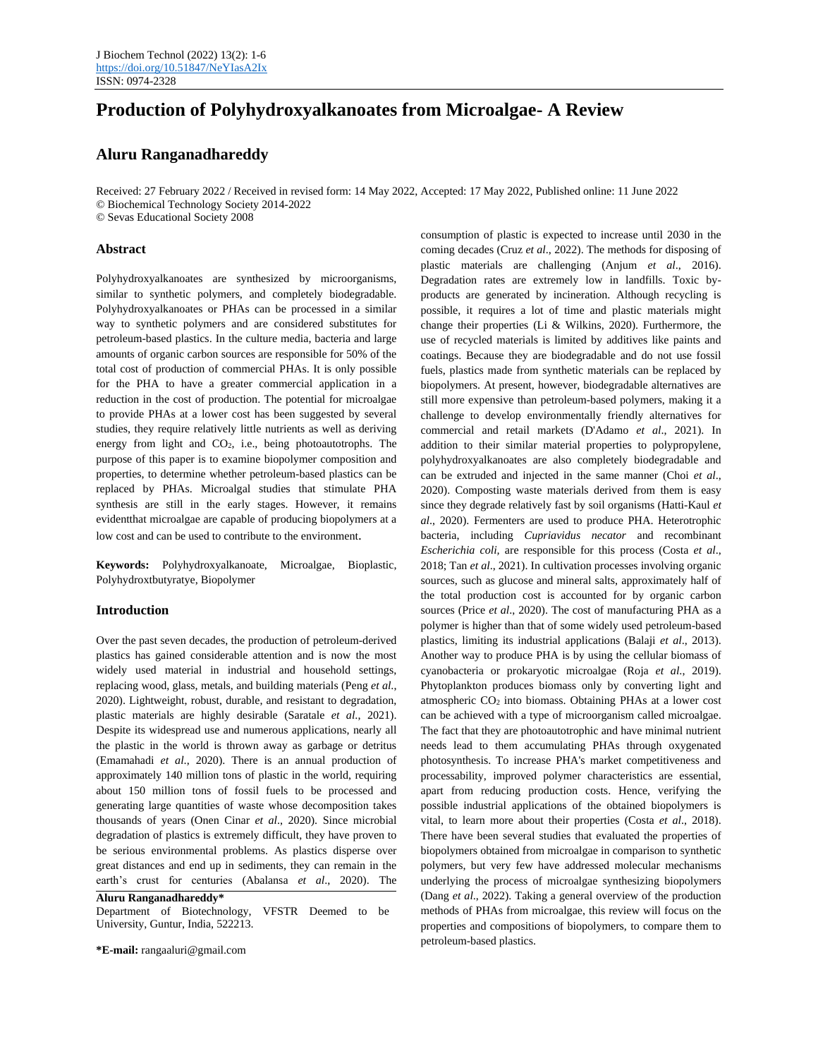# **Production of Polyhydroxyalkanoates from Microalgae- A Review**

# **Aluru Ranganadhareddy**

Received: 27 February 2022 / Received in revised form: 14 May 2022, Accepted: 17 May 2022, Published online: 11 June 2022 © Biochemical Technology Society 2014-2022 © Sevas Educational Society 2008

### **Abstract**

Polyhydroxyalkanoates are synthesized by microorganisms, similar to synthetic polymers, and completely biodegradable. Polyhydroxyalkanoates or PHAs can be processed in a similar way to synthetic polymers and are considered substitutes for petroleum-based plastics. In the culture media, bacteria and large amounts of organic carbon sources are responsible for 50% of the total cost of production of commercial PHAs. It is only possible for the PHA to have a greater commercial application in a reduction in the cost of production. The potential for microalgae to provide PHAs at a lower cost has been suggested by several studies, they require relatively little nutrients as well as deriving energy from light and CO2, i.e., being photoautotrophs. The purpose of this paper is to examine biopolymer composition and properties, to determine whether petroleum-based plastics can be replaced by PHAs. Microalgal studies that stimulate PHA synthesis are still in the early stages. However, it remains evidentthat microalgae are capable of producing biopolymers at a low cost and can be used to contribute to the environment.

**Keywords:** Polyhydroxyalkanoate, Microalgae, Bioplastic, Polyhydroxtbutyratye, Biopolymer

#### **Introduction**

Over the past seven decades, the production of petroleum-derived plastics has gained considerable attention and is now the most widely used material in industrial and household settings, replacing wood, glass, metals, and building materials (Peng *et al*., 2020). Lightweight, robust, durable, and resistant to degradation, plastic materials are highly desirable (Saratale *et al*., 2021). Despite its widespread use and numerous applications, nearly all the plastic in the world is thrown away as garbage or detritus (Emamahadi *et al*., 2020). There is an annual production of approximately 140 million tons of plastic in the world, requiring about 150 million tons of fossil fuels to be processed and generating large quantities of waste whose decomposition takes thousands of years (Onen Cinar *et al*., 2020). Since microbial degradation of plastics is extremely difficult, they have proven to be serious environmental problems. As plastics disperse over great distances and end up in sediments, they can remain in the earth's crust for centuries (Abalansa *et al*., 2020). The

**Aluru Ranganadhareddy\***

Department of Biotechnology, VFSTR Deemed to be University, Guntur, India, 522213.

**\*E-mail:** rangaaluri@gmail.com

consumption of plastic is expected to increase until 2030 in the coming decades (Cruz *et al*., 2022). The methods for disposing of plastic materials are challenging (Anjum *et al*., 2016). Degradation rates are extremely low in landfills. Toxic byproducts are generated by incineration. Although recycling is possible, it requires a lot of time and plastic materials might change their properties (Li & Wilkins, 2020). Furthermore, the use of recycled materials is limited by additives like paints and coatings. Because they are biodegradable and do not use fossil fuels, plastics made from synthetic materials can be replaced by biopolymers. At present, however, biodegradable alternatives are still more expensive than petroleum-based polymers, making it a challenge to develop environmentally friendly alternatives for commercial and retail markets (D'Adamo *et al*., 2021). In addition to their similar material properties to polypropylene, polyhydroxyalkanoates are also completely biodegradable and can be extruded and injected in the same manner (Choi *et al*., 2020). Composting waste materials derived from them is easy since they degrade relatively fast by soil organisms (Hatti-Kaul *et al*., 2020). Fermenters are used to produce PHA. Heterotrophic bacteria, including *Cupriavidus necator* and recombinant *Escherichia coli,* are responsible for this process (Costa *et al*., 2018; Tan *et al*., 2021). In cultivation processes involving organic sources, such as glucose and mineral salts, approximately half of the total production cost is accounted for by organic carbon sources (Price *et al*., 2020). The cost of manufacturing PHA as a polymer is higher than that of some widely used petroleum-based plastics, limiting its industrial applications (Balaji *et al*., 2013). Another way to produce PHA is by using the cellular biomass of cyanobacteria or prokaryotic microalgae (Roja *et al*., 2019). Phytoplankton produces biomass only by converting light and atmospheric CO<sup>2</sup> into biomass. Obtaining PHAs at a lower cost can be achieved with a type of microorganism called microalgae. The fact that they are photoautotrophic and have minimal nutrient needs lead to them accumulating PHAs through oxygenated photosynthesis. To increase PHA's market competitiveness and processability, improved polymer characteristics are essential, apart from reducing production costs. Hence, verifying the possible industrial applications of the obtained biopolymers is vital, to learn more about their properties (Costa *et al*., 2018). There have been several studies that evaluated the properties of biopolymers obtained from microalgae in comparison to synthetic polymers, but very few have addressed molecular mechanisms underlying the process of microalgae synthesizing biopolymers (Dang *et al*., 2022). Taking a general overview of the production methods of PHAs from microalgae, this review will focus on the properties and compositions of biopolymers, to compare them to petroleum-based plastics.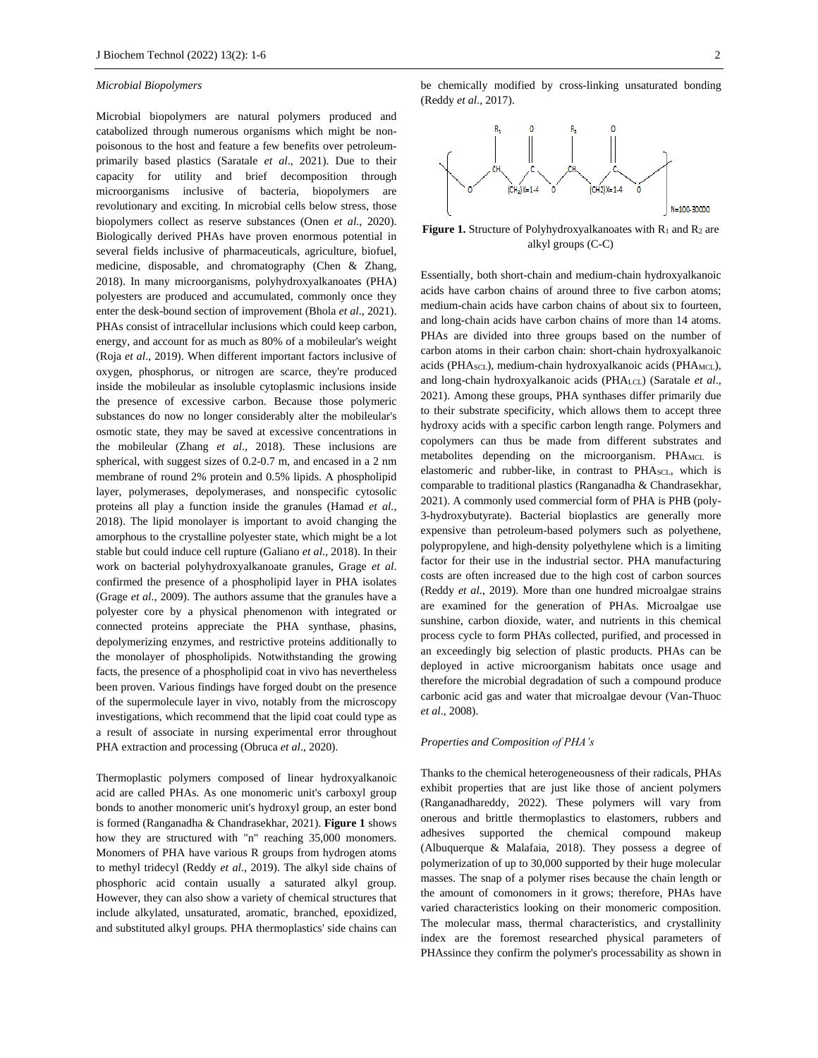#### *Microbial Biopolymers*

Microbial biopolymers are natural polymers produced and catabolized through numerous organisms which might be nonpoisonous to the host and feature a few benefits over petroleumprimarily based plastics (Saratale *et al*., 2021). Due to their capacity for utility and brief decomposition through microorganisms inclusive of bacteria, biopolymers are revolutionary and exciting. In microbial cells below stress, those biopolymers collect as reserve substances (Onen *et al*., 2020). Biologically derived PHAs have proven enormous potential in several fields inclusive of pharmaceuticals, agriculture, biofuel, medicine, disposable, and chromatography (Chen & Zhang*,* 2018). In many microorganisms, polyhydroxyalkanoates (PHA) polyesters are produced and accumulated, commonly once they enter the desk-bound section of improvement (Bhola *et al*., 2021). PHAs consist of intracellular inclusions which could keep carbon, energy, and account for as much as 80% of a mobileular's weight (Roja *et al*., 2019). When different important factors inclusive of oxygen, phosphorus, or nitrogen are scarce, they're produced inside the mobileular as insoluble cytoplasmic inclusions inside the presence of excessive carbon. Because those polymeric substances do now no longer considerably alter the mobileular's osmotic state, they may be saved at excessive concentrations in the mobileular (Zhang *et al*., 2018). These inclusions are spherical, with suggest sizes of 0.2-0.7 m, and encased in a 2 nm membrane of round 2% protein and 0.5% lipids. A phospholipid layer, polymerases, depolymerases, and nonspecific cytosolic proteins all play a function inside the granules (Hamad *et al*., 2018). The lipid monolayer is important to avoid changing the amorphous to the crystalline polyester state, which might be a lot stable but could induce cell rupture (Galiano *et al*., 2018). In their work on bacterial polyhydroxyalkanoate granules, Grage *et al*. confirmed the presence of a phospholipid layer in PHA isolates (Grage *et al*., 2009). The authors assume that the granules have a polyester core by a physical phenomenon with integrated or connected proteins appreciate the PHA synthase, phasins, depolymerizing enzymes, and restrictive proteins additionally to the monolayer of phospholipids. Notwithstanding the growing facts, the presence of a phospholipid coat in vivo has nevertheless been proven. Various findings have forged doubt on the presence of the supermolecule layer in vivo, notably from the microscopy investigations, which recommend that the lipid coat could type as a result of associate in nursing experimental error throughout PHA extraction and processing (Obruca *et al*., 2020).

Thermoplastic polymers composed of linear hydroxyalkanoic acid are called PHAs. As one monomeric unit's carboxyl group bonds to another monomeric unit's hydroxyl group, an ester bond is formed (Ranganadha & Chandrasekhar, 2021). **Figure 1** shows how they are structured with "n" reaching 35,000 monomers. Monomers of PHA have various R groups from hydrogen atoms to methyl tridecyl (Reddy *et al*., 2019). The alkyl side chains of phosphoric acid contain usually a saturated alkyl group. However, they can also show a variety of chemical structures that include alkylated, unsaturated, aromatic, branched, epoxidized, and substituted alkyl groups. PHA thermoplastics' side chains can

be chemically modified by cross-linking unsaturated bonding (Reddy *et al*., 2017).



**Figure 1.** Structure of Polyhydroxyalkanoates with  $R_1$  and  $R_2$  are alkyl groups (C-C)

Essentially, both short-chain and medium-chain hydroxyalkanoic acids have carbon chains of around three to five carbon atoms; medium-chain acids have carbon chains of about six to fourteen, and long-chain acids have carbon chains of more than 14 atoms. PHAs are divided into three groups based on the number of carbon atoms in their carbon chain: short-chain hydroxyalkanoic acids (PHA<sub>SCL</sub>), medium-chain hydroxyalkanoic acids (PHA<sub>MCL</sub>), and long-chain hydroxyalkanoic acids (PHALCL) (Saratale *et al*., 2021). Among these groups, PHA synthases differ primarily due to their substrate specificity, which allows them to accept three hydroxy acids with a specific carbon length range. Polymers and copolymers can thus be made from different substrates and metabolites depending on the microorganism. PHAMCL is elastomeric and rubber-like, in contrast to PHASCL, which is comparable to traditional plastics (Ranganadha & Chandrasekhar, 2021). A commonly used commercial form of PHA is PHB (poly-3-hydroxybutyrate). Bacterial bioplastics are generally more expensive than petroleum-based polymers such as polyethene, polypropylene, and high-density polyethylene which is a limiting factor for their use in the industrial sector. PHA manufacturing costs are often increased due to the high cost of carbon sources (Reddy *et al*., 2019). More than one hundred microalgae strains are examined for the generation of PHAs. Microalgae use sunshine, carbon dioxide, water, and nutrients in this chemical process cycle to form PHAs collected, purified, and processed in an exceedingly big selection of plastic products. PHAs can be deployed in active microorganism habitats once usage and therefore the microbial degradation of such a compound produce carbonic acid gas and water that microalgae devour (Van-Thuoc *et al*., 2008).

# *Properties and Composition of PHA's*

Thanks to the chemical heterogeneousness of their radicals, PHAs exhibit properties that are just like those of ancient polymers (Ranganadhareddy, 2022). These polymers will vary from onerous and brittle thermoplastics to elastomers, rubbers and adhesives supported the chemical compound makeup (Albuquerque & Malafaia, 2018). They possess a degree of polymerization of up to 30,000 supported by their huge molecular masses. The snap of a polymer rises because the chain length or the amount of comonomers in it grows; therefore, PHAs have varied characteristics looking on their monomeric composition. The molecular mass, thermal characteristics, and crystallinity index are the foremost researched physical parameters of PHAssince they confirm the polymer's processability as shown in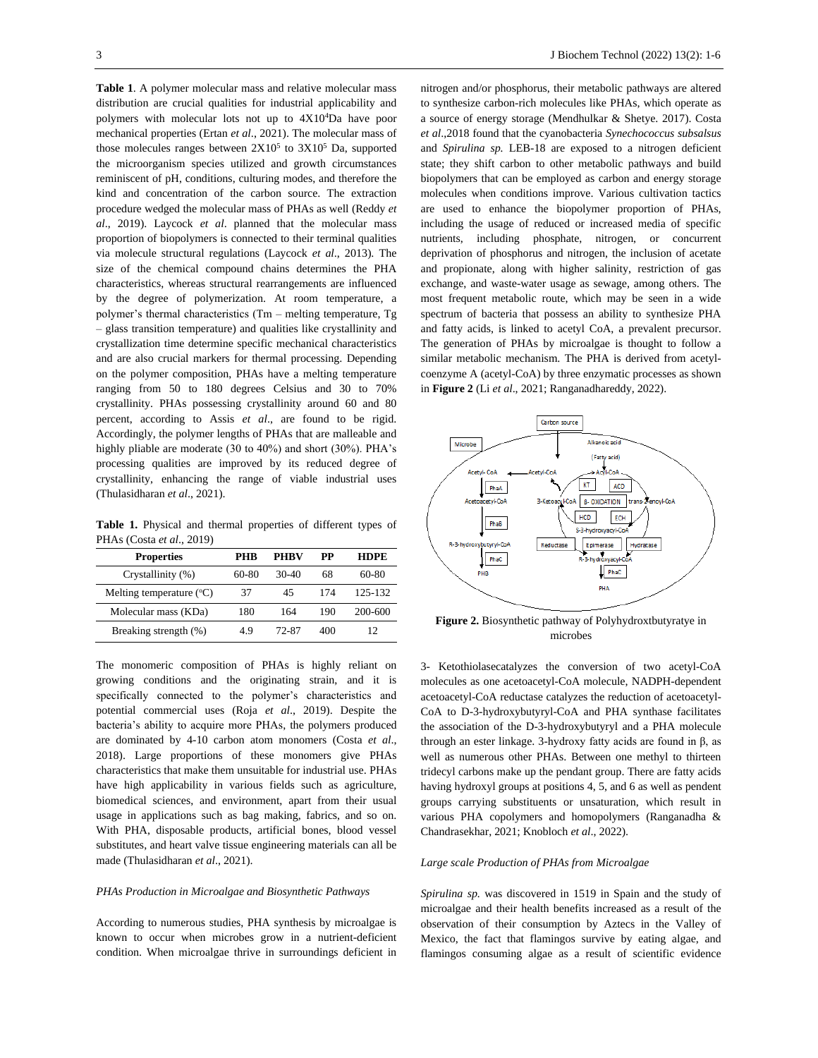**Table 1**. A polymer molecular mass and relative molecular mass distribution are crucial qualities for industrial applicability and polymers with molecular lots not up to 4X10<sup>4</sup>Da have poor mechanical properties (Ertan *et al*., 2021). The molecular mass of those molecules ranges between  $2X10^5$  to  $3X10^5$  Da, supported the microorganism species utilized and growth circumstances reminiscent of pH, conditions, culturing modes, and therefore the kind and concentration of the carbon source. The extraction procedure wedged the molecular mass of PHAs as well (Reddy *et al*., 2019). Laycock *et al*. planned that the molecular mass proportion of biopolymers is connected to their terminal qualities via molecule structural regulations (Laycock *et al*., 2013). The size of the chemical compound chains determines the PHA characteristics, whereas structural rearrangements are influenced by the degree of polymerization. At room temperature, a polymer's thermal characteristics (Tm – melting temperature, Tg – glass transition temperature) and qualities like crystallinity and crystallization time determine specific mechanical characteristics and are also crucial markers for thermal processing. Depending on the polymer composition, PHAs have a melting temperature ranging from 50 to 180 degrees Celsius and 30 to 70% crystallinity. PHAs possessing crystallinity around 60 and 80 percent, according to Assis *et al*., are found to be rigid. Accordingly, the polymer lengths of PHAs that are malleable and highly pliable are moderate (30 to 40%) and short (30%). PHA's processing qualities are improved by its reduced degree of crystallinity, enhancing the range of viable industrial uses (Thulasidharan *et al*., 2021).

**Table 1.** Physical and thermal properties of different types of PHAs (Costa *et al*., 2019)

| <b>Properties</b>                   | PHR   | <b>PHRV</b> | PP  | <b>HDPE</b> |
|-------------------------------------|-------|-------------|-----|-------------|
| Crystallinity (%)                   | 60-80 | $30-40$     | 68  | 60-80       |
| Melting temperature $({}^{\circ}C)$ | 37    | 45          | 174 | 125-132     |
| Molecular mass (KDa)                | 180   | 164         | 190 | 200-600     |
| Breaking strength (%)               | 49    | 72-87       | 400 | 12          |

The monomeric composition of PHAs is highly reliant on growing conditions and the originating strain, and it is specifically connected to the polymer's characteristics and potential commercial uses (Roja *et al*., 2019). Despite the bacteria's ability to acquire more PHAs, the polymers produced are dominated by 4-10 carbon atom monomers (Costa *et al*., 2018). Large proportions of these monomers give PHAs characteristics that make them unsuitable for industrial use. PHAs have high applicability in various fields such as agriculture, biomedical sciences, and environment, apart from their usual usage in applications such as bag making, fabrics, and so on. With PHA, disposable products, artificial bones, blood vessel substitutes, and heart valve tissue engineering materials can all be made (Thulasidharan *et al*., 2021).

#### *PHAs Production in Microalgae and Biosynthetic Pathways*

According to numerous studies, PHA synthesis by microalgae is known to occur when microbes grow in a nutrient-deficient condition. When microalgae thrive in surroundings deficient in nitrogen and/or phosphorus, their metabolic pathways are altered to synthesize carbon-rich molecules like PHAs, which operate as a source of energy storage (Mendhulkar & Shetye. 2017). Costa *et al*.,2018 found that the cyanobacteria *Synechococcus subsalsus* and *Spirulina sp.* LEB-18 are exposed to a nitrogen deficient state; they shift carbon to other metabolic pathways and build biopolymers that can be employed as carbon and energy storage molecules when conditions improve. Various cultivation tactics are used to enhance the biopolymer proportion of PHAs, including the usage of reduced or increased media of specific nutrients, including phosphate, nitrogen, or concurrent deprivation of phosphorus and nitrogen, the inclusion of acetate and propionate, along with higher salinity, restriction of gas exchange, and waste-water usage as sewage, among others. The most frequent metabolic route, which may be seen in a wide spectrum of bacteria that possess an ability to synthesize PHA and fatty acids, is linked to acetyl CoA, a prevalent precursor. The generation of PHAs by microalgae is thought to follow a similar metabolic mechanism. The PHA is derived from acetylcoenzyme A (acetyl-CoA) by three enzymatic processes as shown in **Figure 2** (Li *et al*., 2021; Ranganadhareddy, 2022).



**Figure 2.** Biosynthetic pathway of Polyhydroxtbutyratye in microbes

3- Ketothiolasecatalyzes the conversion of two acetyl-CoA molecules as one acetoacetyl-CoA molecule, NADPH-dependent acetoacetyl-CoA reductase catalyzes the reduction of acetoacetyl-CoA to D-3-hydroxybutyryl-CoA and PHA synthase facilitates the association of the D-3-hydroxybutyryl and a PHA molecule through an ester linkage. 3-hydroxy fatty acids are found in β, as well as numerous other PHAs. Between one methyl to thirteen tridecyl carbons make up the pendant group. There are fatty acids having hydroxyl groups at positions 4, 5, and 6 as well as pendent groups carrying substituents or unsaturation, which result in various PHA copolymers and homopolymers (Ranganadha & Chandrasekhar, 2021; Knobloch *et al*., 2022).

#### *Large scale Production of PHAs from Microalgae*

*Spirulina sp.* was discovered in 1519 in Spain and the study of microalgae and their health benefits increased as a result of the observation of their consumption by Aztecs in the Valley of Mexico, the fact that flamingos survive by eating algae, and flamingos consuming algae as a result of scientific evidence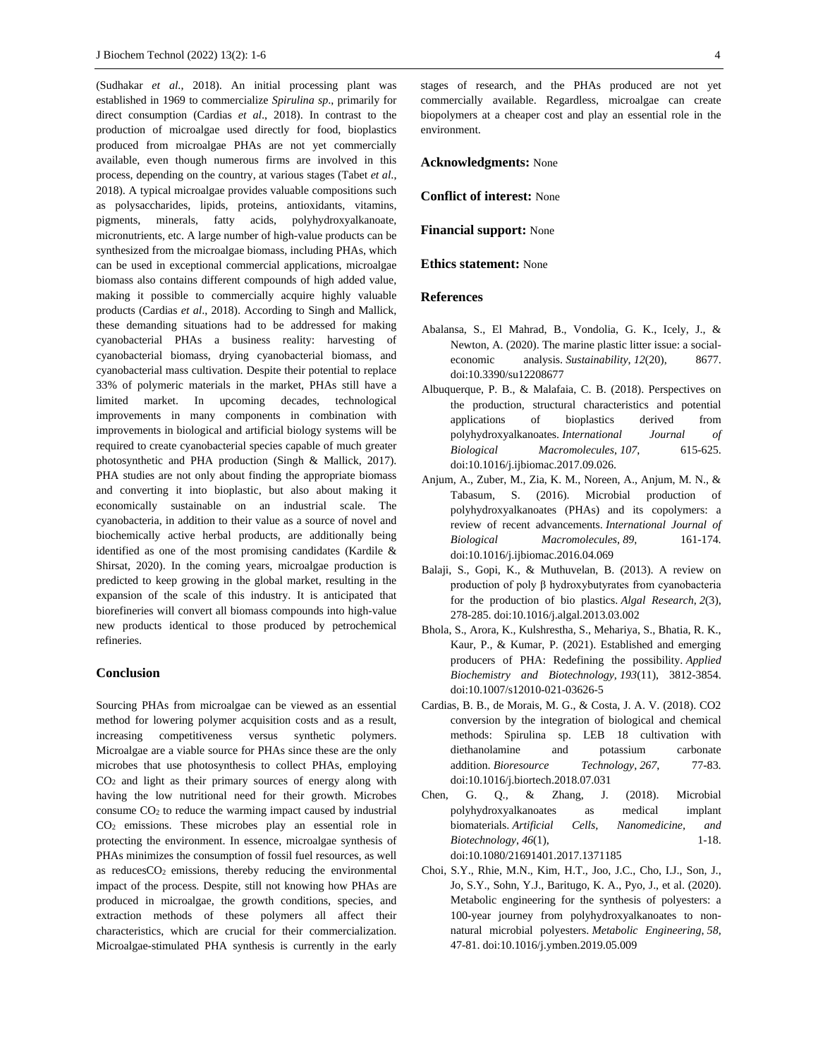(Sudhakar *et al*., 2018). An initial processing plant was established in 1969 to commercialize *Spirulina sp*., primarily for direct consumption (Cardias *et al*., 2018). In contrast to the production of microalgae used directly for food, bioplastics produced from microalgae PHAs are not yet commercially available, even though numerous firms are involved in this process, depending on the country, at various stages (Tabet *et al*., 2018). A typical microalgae provides valuable compositions such as polysaccharides, lipids, proteins, antioxidants, vitamins, pigments, minerals, fatty acids, polyhydroxyalkanoate, micronutrients, etc. A large number of high-value products can be synthesized from the microalgae biomass, including PHAs, which can be used in exceptional commercial applications, microalgae biomass also contains different compounds of high added value, making it possible to commercially acquire highly valuable products (Cardias *et al*., 2018). According to Singh and Mallick, these demanding situations had to be addressed for making cyanobacterial PHAs a business reality: harvesting of cyanobacterial biomass, drying cyanobacterial biomass, and cyanobacterial mass cultivation. Despite their potential to replace 33% of polymeric materials in the market, PHAs still have a limited market. In upcoming decades, technological improvements in many components in combination with improvements in biological and artificial biology systems will be required to create cyanobacterial species capable of much greater photosynthetic and PHA production (Singh & Mallick, 2017). PHA studies are not only about finding the appropriate biomass and converting it into bioplastic, but also about making it economically sustainable on an industrial scale. The cyanobacteria, in addition to their value as a source of novel and biochemically active herbal products, are additionally being identified as one of the most promising candidates (Kardile & Shirsat, 2020). In the coming years, microalgae production is predicted to keep growing in the global market, resulting in the expansion of the scale of this industry. It is anticipated that biorefineries will convert all biomass compounds into high-value new products identical to those produced by petrochemical refineries.

#### **Conclusion**

Sourcing PHAs from microalgae can be viewed as an essential method for lowering polymer acquisition costs and as a result, increasing competitiveness versus synthetic polymers. Microalgae are a viable source for PHAs since these are the only microbes that use photosynthesis to collect PHAs, employing CO<sup>2</sup> and light as their primary sources of energy along with having the low nutritional need for their growth. Microbes consume CO<sup>2</sup> to reduce the warming impact caused by industrial CO<sup>2</sup> emissions. These microbes play an essential role in protecting the environment. In essence, microalgae synthesis of PHAs minimizes the consumption of fossil fuel resources, as well as reduces $CO<sub>2</sub>$  emissions, thereby reducing the environmental impact of the process. Despite, still not knowing how PHAs are produced in microalgae, the growth conditions, species, and extraction methods of these polymers all affect their characteristics, which are crucial for their commercialization. Microalgae-stimulated PHA synthesis is currently in the early

stages of research, and the PHAs produced are not yet commercially available. Regardless, microalgae can create biopolymers at a cheaper cost and play an essential role in the environment.

#### **Acknowledgments:** None

**Conflict of interest:** None

**Financial support:** None

## **Ethics statement:** None

#### **References**

- Abalansa, S., El Mahrad, B., Vondolia, G. K., Icely, J., & Newton, A. (2020). The marine plastic litter issue: a socialeconomic analysis. *Sustainability*, *12*(20), 8677. doi:10.3390/su12208677
- Albuquerque, P. B., & Malafaia, C. B. (2018). Perspectives on the production, structural characteristics and potential applications of bioplastics derived from polyhydroxyalkanoates. *International Journal of Biological Macromolecules*, *107*, 615-625. doi:10.1016/j.ijbiomac.2017.09.026.
- Anjum, A., Zuber, M., Zia, K. M., Noreen, A., Anjum, M. N., & Tabasum, S. (2016). Microbial production of polyhydroxyalkanoates (PHAs) and its copolymers: a review of recent advancements. *International Journal of Biological Macromolecules*, *89*, 161-174. doi:10.1016/j.ijbiomac.2016.04.069
- Balaji, S., Gopi, K., & Muthuvelan, B. (2013). A review on production of poly β hydroxybutyrates from cyanobacteria for the production of bio plastics. *Algal Research*, *2*(3), 278-285. doi:10.1016/j.algal.2013.03.002
- Bhola, S., Arora, K., Kulshrestha, S., Mehariya, S., Bhatia, R. K., Kaur, P., & Kumar, P. (2021). Established and emerging producers of PHA: Redefining the possibility. *Applied Biochemistry and Biotechnology*, *193*(11), 3812-3854. doi:10.1007/s12010-021-03626-5
- Cardias, B. B., de Morais, M. G., & Costa, J. A. V. (2018). CO2 conversion by the integration of biological and chemical methods: Spirulina sp. LEB 18 cultivation with diethanolamine and potassium carbonate addition. *Bioresource* Technology, 267, 77-83. doi:10.1016/j.biortech.2018.07.031
- Chen, G. Q., & Zhang, J. (2018). Microbial polyhydroxyalkanoates as medical implant biomaterials. *Artificial Cells, Nanomedicine, and Biotechnology*, 46(1), 1-18. doi:10.1080/21691401.2017.1371185
- Choi, S.Y., Rhie, M.N., Kim, H.T., Joo, J.C., Cho, I.J., Son, J., Jo, S.Y., Sohn, Y.J., Baritugo, K. A., Pyo, J., et al. (2020). Metabolic engineering for the synthesis of polyesters: a 100-year journey from polyhydroxyalkanoates to nonnatural microbial polyesters. *Metabolic Engineering*, *58*, 47-81. doi:10.1016/j.ymben.2019.05.009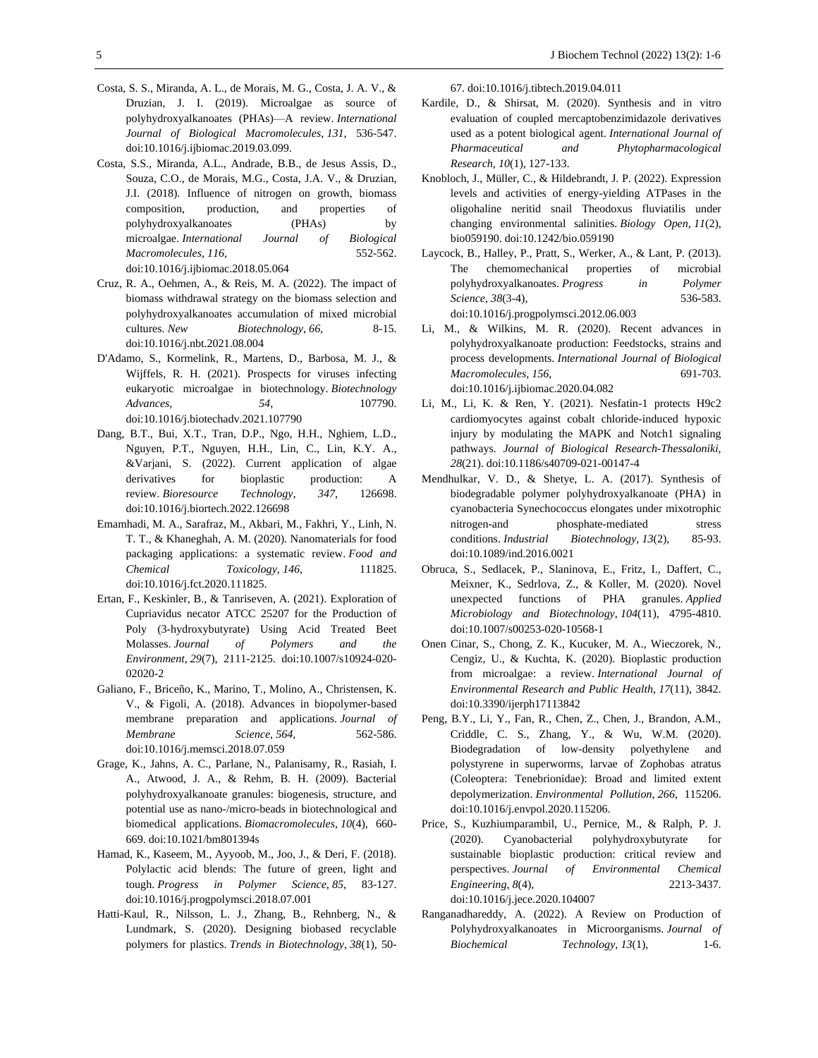- Costa, S. S., Miranda, A. L., de Morais, M. G., Costa, J. A. V., & Druzian, J. I. (2019). Microalgae as source of polyhydroxyalkanoates (PHAs)—A review. *International Journal of Biological Macromolecules*, *131*, 536-547. doi:10.1016/j.ijbiomac.2019.03.099.
- Costa, S.S., Miranda, A.L., Andrade, B.B., de Jesus Assis, D., Souza, C.O., de Morais, M.G., Costa, J.A. V., & Druzian, J.I. (2018). Influence of nitrogen on growth, biomass composition, production, and properties of polyhydroxyalkanoates (PHAs) by microalgae. *International Journal of Biological Macromolecules*, *116*, 552-562. doi:10.1016/j.ijbiomac.2018.05.064
- Cruz, R. A., Oehmen, A., & Reis, M. A. (2022). The impact of biomass withdrawal strategy on the biomass selection and polyhydroxyalkanoates accumulation of mixed microbial cultures. *New* Biotechnology, 66, 8-15. doi:10.1016/j.nbt.2021.08.004
- D'Adamo, S., Kormelink, R., Martens, D., Barbosa, M. J., & Wijffels, R. H. (2021). Prospects for viruses infecting eukaryotic microalgae in biotechnology. *Biotechnology Advances, 54*, 107790. doi:10.1016/j.biotechadv.2021.107790
- Dang, B.T., Bui, X.T., Tran, D.P., Ngo, H.H., Nghiem, L.D., Nguyen, P.T., Nguyen, H.H., Lin, C., Lin, K.Y. A., &Varjani, S. (2022). Current application of algae derivatives for bioplastic production: A review. *Bioresource Technology*, *347*, 126698. doi:10.1016/j.biortech.2022.126698
- Emamhadi, M. A., Sarafraz, M., Akbari, M., Fakhri, Y., Linh, N. T. T., & Khaneghah, A. M. (2020). Nanomaterials for food packaging applications: a systematic review. *Food and Chemical Toxicology*, 146, 111825. doi:10.1016/j.fct.2020.111825.
- Ertan, F., Keskinler, B., & Tanriseven, A. (2021). Exploration of Cupriavidus necator ATCC 25207 for the Production of Poly (3-hydroxybutyrate) Using Acid Treated Beet Molasses. *Journal of Polymers and the Environment*, *29*(7), 2111-2125. doi:10.1007/s10924-020- 02020-2
- Galiano, F., Briceño, K., Marino, T., Molino, A., Christensen, K. V., & Figoli, A. (2018). Advances in biopolymer-based membrane preparation and applications. *Journal of Membrane Science*, *564*, 562-586. doi:10.1016/j.memsci.2018.07.059
- Grage, K., Jahns, A. C., Parlane, N., Palanisamy, R., Rasiah, I. A., Atwood, J. A., & Rehm, B. H. (2009). Bacterial polyhydroxyalkanoate granules: biogenesis, structure, and potential use as nano-/micro-beads in biotechnological and biomedical applications. *Biomacromolecules*, *10*(4), 660- 669. doi:10.1021/bm801394s
- Hamad, K., Kaseem, M., Ayyoob, M., Joo, J., & Deri, F. (2018). Polylactic acid blends: The future of green, light and tough. *Progress in Polymer Science*, *85*, 83-127. doi:10.1016/j.progpolymsci.2018.07.001
- Hatti-Kaul, R., Nilsson, L. J., Zhang, B., Rehnberg, N., & Lundmark, S. (2020). Designing biobased recyclable polymers for plastics. *Trends in Biotechnology*, *38*(1), 50-

67. doi:10.1016/j.tibtech.2019.04.011

- Kardile, D., & Shirsat, M. (2020). Synthesis and in vitro evaluation of coupled mercaptobenzimidazole derivatives used as a potent biological agent. *International Journal of Pharmaceutical and Phytopharmacological Research*, *10*(1), 127-133.
- Knobloch, J., Müller, C., & Hildebrandt, J. P. (2022). Expression levels and activities of energy-yielding ATPases in the oligohaline neritid snail Theodoxus fluviatilis under changing environmental salinities. *Biology Open*, *11*(2), bio059190. doi:10.1242/bio.059190
- Laycock, B., Halley, P., Pratt, S., Werker, A., & Lant, P. (2013). The chemomechanical properties of microbial polyhydroxyalkanoates. *Progress in Polymer Science*, *38*(3-4), 536-583. doi:10.1016/j.progpolymsci.2012.06.003
- Li, M., & Wilkins, M. R. (2020). Recent advances in polyhydroxyalkanoate production: Feedstocks, strains and process developments. *International Journal of Biological Macromolecules*, *156*, 691-703. doi:10.1016/j.ijbiomac.2020.04.082
- Li, M., Li, K. & Ren, Y. (2021). Nesfatin-1 protects H9c2 cardiomyocytes against cobalt chloride-induced hypoxic injury by modulating the MAPK and Notch1 signaling pathways. *Journal of Biological Research-Thessaloniki, 28*(21). doi:10.1186/s40709-021-00147-4
- Mendhulkar, V. D., & Shetye, L. A. (2017). Synthesis of biodegradable polymer polyhydroxyalkanoate (PHA) in cyanobacteria Synechococcus elongates under mixotrophic nitrogen-and phosphate-mediated stress conditions. *Industrial Biotechnology*, *13*(2), 85-93. doi:10.1089/ind.2016.0021
- Obruca, S., Sedlacek, P., Slaninova, E., Fritz, I., Daffert, C., Meixner, K., Sedrlova, Z., & Koller, M. (2020). Novel unexpected functions of PHA granules. *Applied Microbiology and Biotechnology*, *104*(11), 4795-4810. doi:10.1007/s00253-020-10568-1
- Onen Cinar, S., Chong, Z. K., Kucuker, M. A., Wieczorek, N., Cengiz, U., & Kuchta, K. (2020). Bioplastic production from microalgae: a review. *International Journal of Environmental Research and Public Health*, *17*(11), 3842. doi:10.3390/ijerph17113842
- Peng, B.Y., Li, Y., Fan, R., Chen, Z., Chen, J., Brandon, A.M., Criddle, C. S., Zhang, Y., & Wu, W.M. (2020). Biodegradation of low-density polyethylene and polystyrene in superworms, larvae of Zophobas atratus (Coleoptera: Tenebrionidae): Broad and limited extent depolymerization. *Environmental Pollution*, *266*, 115206. doi:10.1016/j.envpol.2020.115206.
- Price, S., Kuzhiumparambil, U., Pernice, M., & Ralph, P. J. (2020). Cyanobacterial polyhydroxybutyrate for sustainable bioplastic production: critical review and perspectives. *Journal of Environmental Chemical Engineering*, *8*(4), 2213-3437. doi:10.1016/j.jece.2020.104007
- Ranganadhareddy, A. (2022). A Review on Production of Polyhydroxyalkanoates in Microorganisms. *Journal of Biochemical Technology*, *13*(1), 1-6.